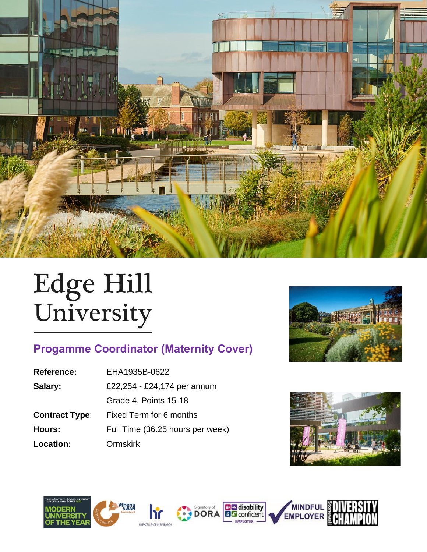

# Edge Hill<br>University

# **Progamme Coordinator (Maternity Cover)**

| <b>Reference:</b>     | EHA1935B-0622                    |  |
|-----------------------|----------------------------------|--|
| Salary:               | £22,254 - £24,174 per annum      |  |
|                       | Grade 4, Points 15-18            |  |
| <b>Contract Type:</b> | Fixed Term for 6 months          |  |
| Hours:                | Full Time (36.25 hours per week) |  |
| Location:             | <b>Ormskirk</b>                  |  |





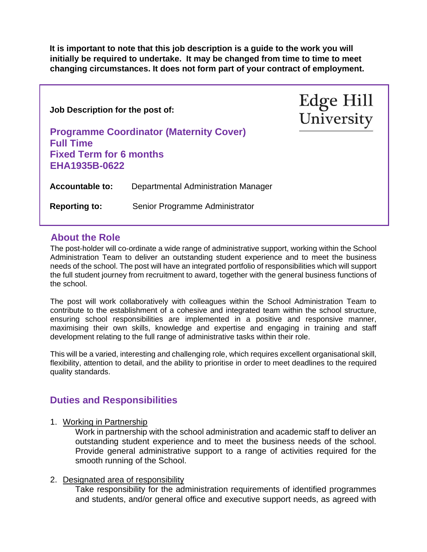**It is important to note that this job description is a guide to the work you will initially be required to undertake. It may be changed from time to time to meet changing circumstances. It does not form part of your contract of employment.** 

| Job Description for the post of:<br><b>Programme Coordinator (Maternity Cover)</b><br><b>Full Time</b><br><b>Fixed Term for 6 months</b><br>EHA1935B-0622 |                                     | <b>Edge Hill</b><br>University |
|-----------------------------------------------------------------------------------------------------------------------------------------------------------|-------------------------------------|--------------------------------|
| <b>Accountable to:</b>                                                                                                                                    | Departmental Administration Manager |                                |
| <b>Reporting to:</b>                                                                                                                                      | Senior Programme Administrator      |                                |
|                                                                                                                                                           |                                     |                                |

# **About the Role**

The post-holder will co-ordinate a wide range of administrative support, working within the School Administration Team to deliver an outstanding student experience and to meet the business needs of the school. The post will have an integrated portfolio of responsibilities which will support the full student journey from recruitment to award, together with the general business functions of the school.

The post will work collaboratively with colleagues within the School Administration Team to contribute to the establishment of a cohesive and integrated team within the school structure, ensuring school responsibilities are implemented in a positive and responsive manner, maximising their own skills, knowledge and expertise and engaging in training and staff development relating to the full range of administrative tasks within their role.

This will be a varied, interesting and challenging role, which requires excellent organisational skill, flexibility, attention to detail, and the ability to prioritise in order to meet deadlines to the required quality standards.

# **Duties and Responsibilities**

1. Working in Partnership

Work in partnership with the school administration and academic staff to deliver an outstanding student experience and to meet the business needs of the school. Provide general administrative support to a range of activities required for the smooth running of the School.

#### 2. Designated area of responsibility

Take responsibility for the administration requirements of identified programmes and students, and/or general office and executive support needs, as agreed with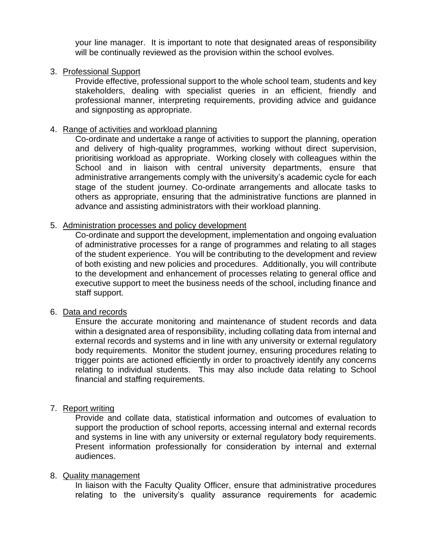your line manager. It is important to note that designated areas of responsibility will be continually reviewed as the provision within the school evolves.

#### 3. Professional Support

Provide effective, professional support to the whole school team, students and key stakeholders, dealing with specialist queries in an efficient, friendly and professional manner, interpreting requirements, providing advice and guidance and signposting as appropriate.

#### 4. Range of activities and workload planning

Co-ordinate and undertake a range of activities to support the planning, operation and delivery of high-quality programmes, working without direct supervision, prioritising workload as appropriate. Working closely with colleagues within the School and in liaison with central university departments, ensure that administrative arrangements comply with the university's academic cycle for each stage of the student journey. Co-ordinate arrangements and allocate tasks to others as appropriate, ensuring that the administrative functions are planned in advance and assisting administrators with their workload planning.

#### 5. Administration processes and policy development

Co-ordinate and support the development, implementation and ongoing evaluation of administrative processes for a range of programmes and relating to all stages of the student experience. You will be contributing to the development and review of both existing and new policies and procedures. Additionally, you will contribute to the development and enhancement of processes relating to general office and executive support to meet the business needs of the school, including finance and staff support.

#### 6. Data and records

Ensure the accurate monitoring and maintenance of student records and data within a designated area of responsibility, including collating data from internal and external records and systems and in line with any university or external regulatory body requirements. Monitor the student journey, ensuring procedures relating to trigger points are actioned efficiently in order to proactively identify any concerns relating to individual students. This may also include data relating to School financial and staffing requirements.

#### 7. Report writing

Provide and collate data, statistical information and outcomes of evaluation to support the production of school reports, accessing internal and external records and systems in line with any university or external regulatory body requirements. Present information professionally for consideration by internal and external audiences.

#### 8. Quality management

In liaison with the Faculty Quality Officer, ensure that administrative procedures relating to the university's quality assurance requirements for academic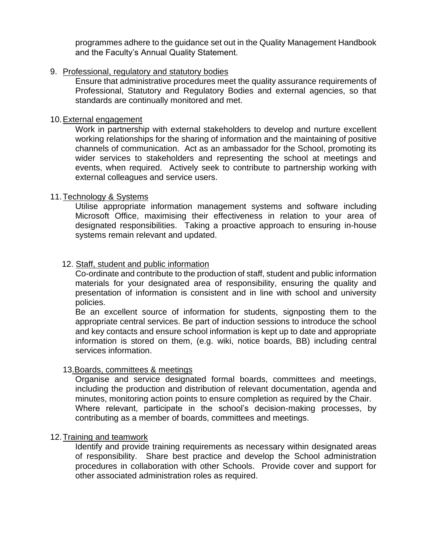programmes adhere to the guidance set out in the Quality Management Handbook and the Faculty's Annual Quality Statement.

#### 9. Professional, regulatory and statutory bodies

Ensure that administrative procedures meet the quality assurance requirements of Professional, Statutory and Regulatory Bodies and external agencies, so that standards are continually monitored and met.

#### 10.External engagement

Work in partnership with external stakeholders to develop and nurture excellent working relationships for the sharing of information and the maintaining of positive channels of communication. Act as an ambassador for the School, promoting its wider services to stakeholders and representing the school at meetings and events, when required. Actively seek to contribute to partnership working with external colleagues and service users.

#### 11.Technology & Systems

Utilise appropriate information management systems and software including Microsoft Office, maximising their effectiveness in relation to your area of designated responsibilities. Taking a proactive approach to ensuring in-house systems remain relevant and updated.

#### 12. Staff, student and public information

Co-ordinate and contribute to the production of staff, student and public information materials for your designated area of responsibility, ensuring the quality and presentation of information is consistent and in line with school and university policies.

Be an excellent source of information for students, signposting them to the appropriate central services. Be part of induction sessions to introduce the school and key contacts and ensure school information is kept up to date and appropriate information is stored on them, (e.g. wiki, notice boards, BB) including central services information.

#### 13.Boards, committees & meetings

Organise and service designated formal boards, committees and meetings, including the production and distribution of relevant documentation, agenda and minutes, monitoring action points to ensure completion as required by the Chair. Where relevant, participate in the school's decision-making processes, by contributing as a member of boards, committees and meetings.

#### 12. Training and teamwork

Identify and provide training requirements as necessary within designated areas of responsibility. Share best practice and develop the School administration procedures in collaboration with other Schools. Provide cover and support for other associated administration roles as required.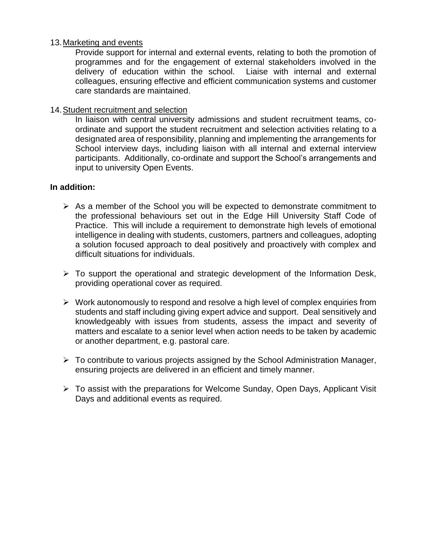#### 13.Marketing and events

Provide support for internal and external events, relating to both the promotion of programmes and for the engagement of external stakeholders involved in the delivery of education within the school. Liaise with internal and external colleagues, ensuring effective and efficient communication systems and customer care standards are maintained.

#### 14.Student recruitment and selection

In liaison with central university admissions and student recruitment teams, coordinate and support the student recruitment and selection activities relating to a designated area of responsibility, planning and implementing the arrangements for School interview days, including liaison with all internal and external interview participants. Additionally, co-ordinate and support the School's arrangements and input to university Open Events.

#### **In addition:**

- $\triangleright$  As a member of the School you will be expected to demonstrate commitment to the professional behaviours set out in the Edge Hill University Staff Code of Practice. This will include a requirement to demonstrate high levels of emotional intelligence in dealing with students, customers, partners and colleagues, adopting a solution focused approach to deal positively and proactively with complex and difficult situations for individuals.
- $\triangleright$  To support the operational and strategic development of the Information Desk, providing operational cover as required.
- ➢ Work autonomously to respond and resolve a high level of complex enquiries from students and staff including giving expert advice and support. Deal sensitively and knowledgeably with issues from students, assess the impact and severity of matters and escalate to a senior level when action needs to be taken by academic or another department, e.g. pastoral care.
- ➢ To contribute to various projects assigned by the School Administration Manager, ensuring projects are delivered in an efficient and timely manner.
- ➢ To assist with the preparations for Welcome Sunday, Open Days, Applicant Visit Days and additional events as required.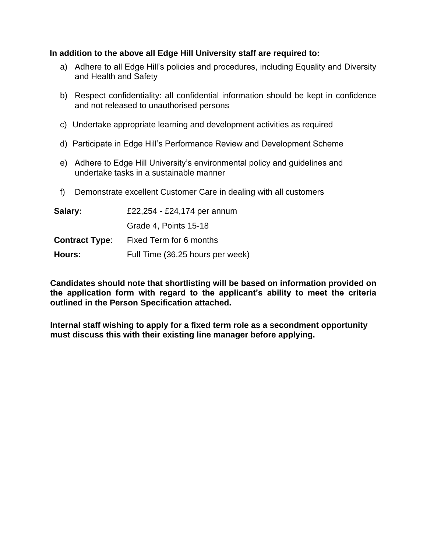#### **In addition to the above all Edge Hill University staff are required to:**

- a) Adhere to all Edge Hill's policies and procedures, including Equality and Diversity and Health and Safety
- b) Respect confidentiality: all confidential information should be kept in confidence and not released to unauthorised persons
- c) Undertake appropriate learning and development activities as required
- d) Participate in Edge Hill's Performance Review and Development Scheme
- e) Adhere to Edge Hill University's environmental policy and guidelines and undertake tasks in a sustainable manner
- f) Demonstrate excellent Customer Care in dealing with all customers

| Salary:               | £22,254 - £24,174 per annum      |  |  |
|-----------------------|----------------------------------|--|--|
|                       | Grade 4, Points 15-18            |  |  |
| <b>Contract Type:</b> | Fixed Term for 6 months          |  |  |
| Hours:                | Full Time (36.25 hours per week) |  |  |

**Candidates should note that shortlisting will be based on information provided on the application form with regard to the applicant's ability to meet the criteria outlined in the Person Specification attached.**

**Internal staff wishing to apply for a fixed term role as a secondment opportunity must discuss this with their existing line manager before applying.**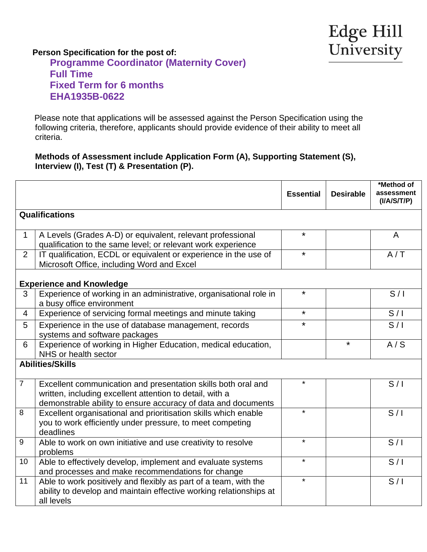# **Person Specification for the post of: Programme Coordinator (Maternity Cover) Full Time Fixed Term for 6 months EHA1935B-0622**

 Please note that applications will be assessed against the Person Specification using the following criteria, therefore, applicants should provide evidence of their ability to meet all criteria.

#### **Methods of Assessment include Application Form (A), Supporting Statement (S), Interview (I), Test (T) & Presentation (P).**

|                                 |                                                                                                                                                                                            | <b>Essential</b> | <b>Desirable</b> | *Method of<br>assessment<br>( I/ A/ S/ T/P ) |  |  |  |
|---------------------------------|--------------------------------------------------------------------------------------------------------------------------------------------------------------------------------------------|------------------|------------------|----------------------------------------------|--|--|--|
| <b>Qualifications</b>           |                                                                                                                                                                                            |                  |                  |                                              |  |  |  |
| $\mathbf{1}$                    | A Levels (Grades A-D) or equivalent, relevant professional<br>qualification to the same level; or relevant work experience                                                                 | $\star$          |                  | A                                            |  |  |  |
| $\overline{2}$                  | IT qualification, ECDL or equivalent or experience in the use of<br>Microsoft Office, including Word and Excel                                                                             | $\star$          |                  | A/T                                          |  |  |  |
| <b>Experience and Knowledge</b> |                                                                                                                                                                                            |                  |                  |                                              |  |  |  |
| 3                               | Experience of working in an administrative, organisational role in<br>a busy office environment                                                                                            | ¥                |                  | S/I                                          |  |  |  |
| $\overline{4}$                  | Experience of servicing formal meetings and minute taking                                                                                                                                  | $\star$          |                  | S/I                                          |  |  |  |
| 5                               | Experience in the use of database management, records<br>systems and software packages                                                                                                     | $\star$          |                  | S/I                                          |  |  |  |
| 6                               | Experience of working in Higher Education, medical education,<br>NHS or health sector                                                                                                      |                  | $\star$          | A/S                                          |  |  |  |
| <b>Abilities/Skills</b>         |                                                                                                                                                                                            |                  |                  |                                              |  |  |  |
| $\overline{7}$                  | Excellent communication and presentation skills both oral and<br>written, including excellent attention to detail, with a<br>demonstrable ability to ensure accuracy of data and documents | $\star$          |                  | S/I                                          |  |  |  |
| 8                               | Excellent organisational and prioritisation skills which enable<br>you to work efficiently under pressure, to meet competing<br>deadlines                                                  | $\star$          |                  | S/I                                          |  |  |  |
| 9                               | Able to work on own initiative and use creativity to resolve<br>problems                                                                                                                   | $\star$          |                  | S/I                                          |  |  |  |
| 10 <sup>°</sup>                 | Able to effectively develop, implement and evaluate systems<br>and processes and make recommendations for change                                                                           | $\star$          |                  | S/I                                          |  |  |  |
| 11                              | Able to work positively and flexibly as part of a team, with the<br>ability to develop and maintain effective working relationships at<br>all levels                                       | $\star$          |                  | S/I                                          |  |  |  |